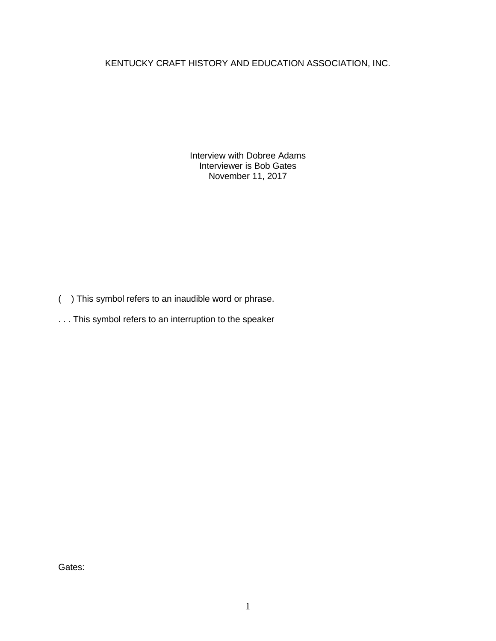KENTUCKY CRAFT HISTORY AND EDUCATION ASSOCIATION, INC.

Interview with Dobree Adams Interviewer is Bob Gates November 11, 2017

- ( ) This symbol refers to an inaudible word or phrase.
- . . . This symbol refers to an interruption to the speaker

Gates: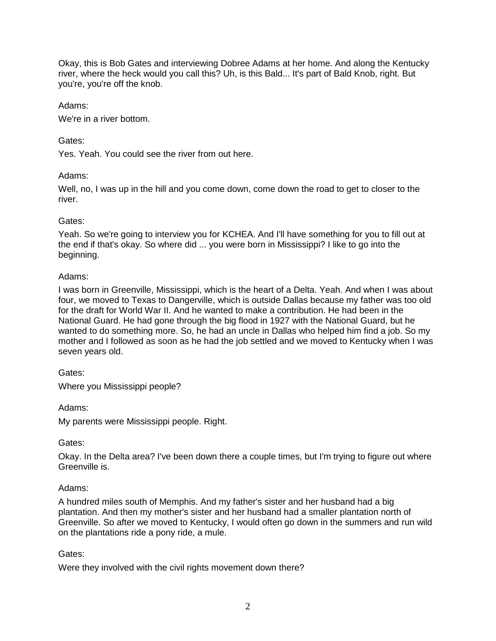Okay, this is Bob Gates and interviewing Dobree Adams at her home. And along the Kentucky river, where the heck would you call this? Uh, is this Bald... It's part of Bald Knob, right. But you're, you're off the knob.

### Adams:

We're in a river bottom.

# Gates:

Yes. Yeah. You could see the river from out here.

# Adams:

Well, no, I was up in the hill and you come down, come down the road to get to closer to the river.

# Gates:

Yeah. So we're going to interview you for KCHEA. And I'll have something for you to fill out at the end if that's okay. So where did ... you were born in Mississippi? I like to go into the beginning.

#### Adams:

I was born in Greenville, Mississippi, which is the heart of a Delta. Yeah. And when I was about four, we moved to Texas to Dangerville, which is outside Dallas because my father was too old for the draft for World War II. And he wanted to make a contribution. He had been in the National Guard. He had gone through the big flood in 1927 with the National Guard, but he wanted to do something more. So, he had an uncle in Dallas who helped him find a job. So my mother and I followed as soon as he had the job settled and we moved to Kentucky when I was seven years old.

# Gates:

Where you Mississippi people?

Adams:

My parents were Mississippi people. Right.

# Gates:

Okay. In the Delta area? I've been down there a couple times, but I'm trying to figure out where Greenville is.

# Adams:

A hundred miles south of Memphis. And my father's sister and her husband had a big plantation. And then my mother's sister and her husband had a smaller plantation north of Greenville. So after we moved to Kentucky, I would often go down in the summers and run wild on the plantations ride a pony ride, a mule.

# Gates:

Were they involved with the civil rights movement down there?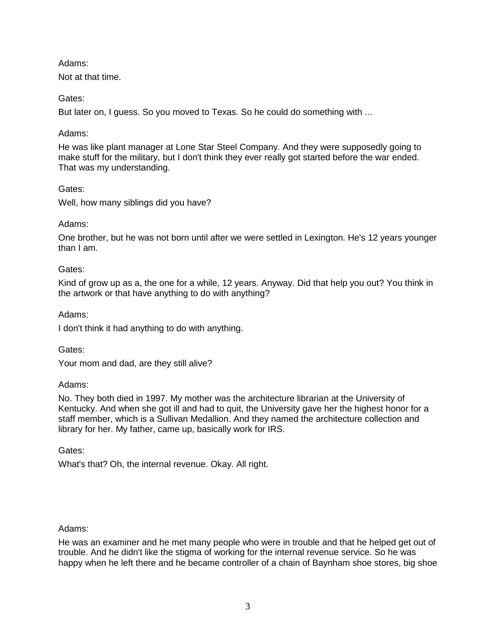# Adams:

Not at that time.

# Gates:

But later on, I guess. So you moved to Texas. So he could do something with ...

# Adams:

He was like plant manager at Lone Star Steel Company. And they were supposedly going to make stuff for the military, but I don't think they ever really got started before the war ended. That was my understanding.

# Gates:

Well, how many siblings did you have?

# Adams:

One brother, but he was not born until after we were settled in Lexington. He's 12 years younger than I am.

# Gates:

Kind of grow up as a, the one for a while, 12 years. Anyway. Did that help you out? You think in the artwork or that have anything to do with anything?

# Adams:

I don't think it had anything to do with anything.

Gates:

Your mom and dad, are they still alive?

# Adams:

No. They both died in 1997. My mother was the architecture librarian at the University of Kentucky. And when she got ill and had to quit, the University gave her the highest honor for a staff member, which is a Sullivan Medallion. And they named the architecture collection and library for her. My father, came up, basically work for IRS.

Gates:

What's that? Oh, the internal revenue. Okay. All right.

# Adams:

He was an examiner and he met many people who were in trouble and that he helped get out of trouble. And he didn't like the stigma of working for the internal revenue service. So he was happy when he left there and he became controller of a chain of Baynham shoe stores, big shoe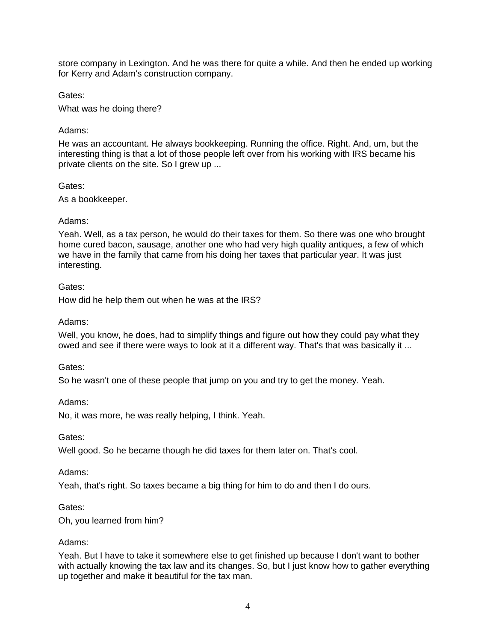store company in Lexington. And he was there for quite a while. And then he ended up working for Kerry and Adam's construction company.

Gates:

What was he doing there?

# Adams:

He was an accountant. He always bookkeeping. Running the office. Right. And, um, but the interesting thing is that a lot of those people left over from his working with IRS became his private clients on the site. So I grew up ...

# Gates:

As a bookkeeper.

# Adams:

Yeah. Well, as a tax person, he would do their taxes for them. So there was one who brought home cured bacon, sausage, another one who had very high quality antiques, a few of which we have in the family that came from his doing her taxes that particular year. It was just interesting.

# Gates:

How did he help them out when he was at the IRS?

Adams:

Well, you know, he does, had to simplify things and figure out how they could pay what they owed and see if there were ways to look at it a different way. That's that was basically it ...

Gates:

So he wasn't one of these people that jump on you and try to get the money. Yeah.

Adams:

No, it was more, he was really helping, I think. Yeah.

Gates:

Well good. So he became though he did taxes for them later on. That's cool.

Adams:

Yeah, that's right. So taxes became a big thing for him to do and then I do ours.

Gates:

Oh, you learned from him?

# Adams:

Yeah. But I have to take it somewhere else to get finished up because I don't want to bother with actually knowing the tax law and its changes. So, but I just know how to gather everything up together and make it beautiful for the tax man.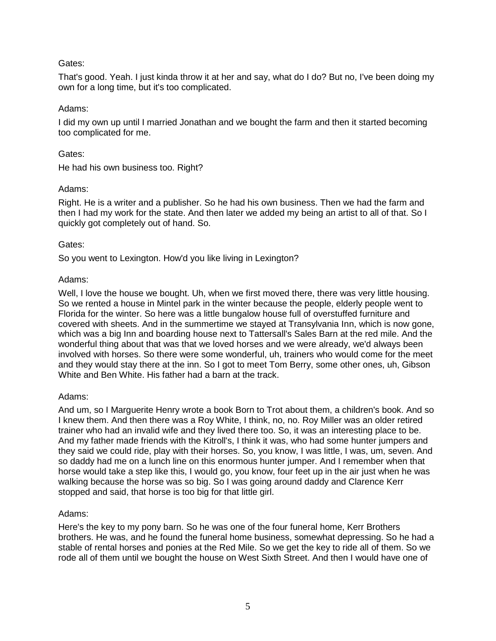That's good. Yeah. I just kinda throw it at her and say, what do I do? But no, I've been doing my own for a long time, but it's too complicated.

### Adams:

I did my own up until I married Jonathan and we bought the farm and then it started becoming too complicated for me.

### Gates:

He had his own business too. Right?

#### Adams:

Right. He is a writer and a publisher. So he had his own business. Then we had the farm and then I had my work for the state. And then later we added my being an artist to all of that. So I quickly got completely out of hand. So.

#### Gates:

So you went to Lexington. How'd you like living in Lexington?

#### Adams:

Well, I love the house we bought. Uh, when we first moved there, there was very little housing. So we rented a house in Mintel park in the winter because the people, elderly people went to Florida for the winter. So here was a little bungalow house full of overstuffed furniture and covered with sheets. And in the summertime we stayed at Transylvania Inn, which is now gone, which was a big Inn and boarding house next to Tattersall's Sales Barn at the red mile. And the wonderful thing about that was that we loved horses and we were already, we'd always been involved with horses. So there were some wonderful, uh, trainers who would come for the meet and they would stay there at the inn. So I got to meet Tom Berry, some other ones, uh, Gibson White and Ben White. His father had a barn at the track.

# Adams:

And um, so I Marguerite Henry wrote a book Born to Trot about them, a children's book. And so I knew them. And then there was a Roy White, I think, no, no. Roy Miller was an older retired trainer who had an invalid wife and they lived there too. So, it was an interesting place to be. And my father made friends with the Kitroll's, I think it was, who had some hunter jumpers and they said we could ride, play with their horses. So, you know, I was little, I was, um, seven. And so daddy had me on a lunch line on this enormous hunter jumper. And I remember when that horse would take a step like this, I would go, you know, four feet up in the air just when he was walking because the horse was so big. So I was going around daddy and Clarence Kerr stopped and said, that horse is too big for that little girl.

# Adams:

Here's the key to my pony barn. So he was one of the four funeral home, Kerr Brothers brothers. He was, and he found the funeral home business, somewhat depressing. So he had a stable of rental horses and ponies at the Red Mile. So we get the key to ride all of them. So we rode all of them until we bought the house on West Sixth Street. And then I would have one of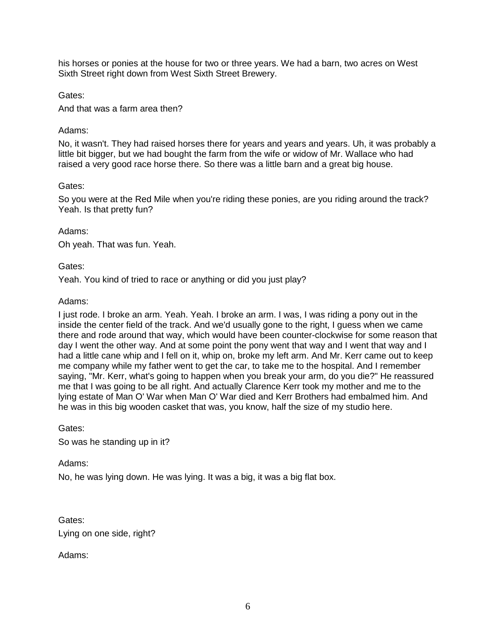his horses or ponies at the house for two or three years. We had a barn, two acres on West Sixth Street right down from West Sixth Street Brewery.

Gates:

And that was a farm area then?

#### Adams:

No, it wasn't. They had raised horses there for years and years and years. Uh, it was probably a little bit bigger, but we had bought the farm from the wife or widow of Mr. Wallace who had raised a very good race horse there. So there was a little barn and a great big house.

#### Gates:

So you were at the Red Mile when you're riding these ponies, are you riding around the track? Yeah. Is that pretty fun?

#### Adams:

Oh yeah. That was fun. Yeah.

#### Gates:

Yeah. You kind of tried to race or anything or did you just play?

#### Adams:

I just rode. I broke an arm. Yeah. Yeah. I broke an arm. I was, I was riding a pony out in the inside the center field of the track. And we'd usually gone to the right, I guess when we came there and rode around that way, which would have been counter-clockwise for some reason that day I went the other way. And at some point the pony went that way and I went that way and I had a little cane whip and I fell on it, whip on, broke my left arm. And Mr. Kerr came out to keep me company while my father went to get the car, to take me to the hospital. And I remember saying, "Mr. Kerr, what's going to happen when you break your arm, do you die?" He reassured me that I was going to be all right. And actually Clarence Kerr took my mother and me to the lying estate of Man O' War when Man O' War died and Kerr Brothers had embalmed him. And he was in this big wooden casket that was, you know, half the size of my studio here.

Gates:

So was he standing up in it?

#### Adams:

No, he was lying down. He was lying. It was a big, it was a big flat box.

Gates: Lying on one side, right?

Adams: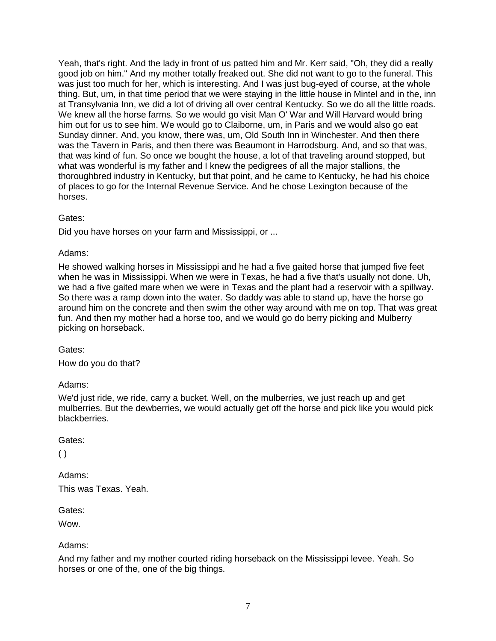Yeah, that's right. And the lady in front of us patted him and Mr. Kerr said, "Oh, they did a really good job on him." And my mother totally freaked out. She did not want to go to the funeral. This was just too much for her, which is interesting. And I was just bug-eyed of course, at the whole thing. But, um, in that time period that we were staying in the little house in Mintel and in the, inn at Transylvania Inn, we did a lot of driving all over central Kentucky. So we do all the little roads. We knew all the horse farms. So we would go visit Man O' War and Will Harvard would bring him out for us to see him. We would go to Claiborne, um, in Paris and we would also go eat Sunday dinner. And, you know, there was, um, Old South Inn in Winchester. And then there was the Tavern in Paris, and then there was Beaumont in Harrodsburg. And, and so that was, that was kind of fun. So once we bought the house, a lot of that traveling around stopped, but what was wonderful is my father and I knew the pedigrees of all the major stallions, the thoroughbred industry in Kentucky, but that point, and he came to Kentucky, he had his choice of places to go for the Internal Revenue Service. And he chose Lexington because of the horses.

# Gates:

Did you have horses on your farm and Mississippi, or ...

# Adams:

He showed walking horses in Mississippi and he had a five gaited horse that jumped five feet when he was in Mississippi. When we were in Texas, he had a five that's usually not done. Uh, we had a five gaited mare when we were in Texas and the plant had a reservoir with a spillway. So there was a ramp down into the water. So daddy was able to stand up, have the horse go around him on the concrete and then swim the other way around with me on top. That was great fun. And then my mother had a horse too, and we would go do berry picking and Mulberry picking on horseback.

Gates:

How do you do that?

# Adams:

We'd just ride, we ride, carry a bucket. Well, on the mulberries, we just reach up and get mulberries. But the dewberries, we would actually get off the horse and pick like you would pick blackberries.

# Gates:

 $( )$ 

Adams: This was Texas. Yeah.

Gates:

Wow.

# Adams:

And my father and my mother courted riding horseback on the Mississippi levee. Yeah. So horses or one of the, one of the big things.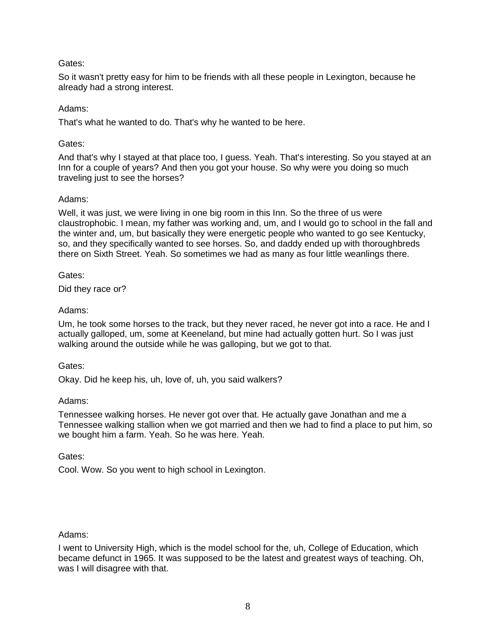So it wasn't pretty easy for him to be friends with all these people in Lexington, because he already had a strong interest.

# Adams:

That's what he wanted to do. That's why he wanted to be here.

# Gates:

And that's why I stayed at that place too, I guess. Yeah. That's interesting. So you stayed at an Inn for a couple of years? And then you got your house. So why were you doing so much traveling just to see the horses?

# Adams:

Well, it was just, we were living in one big room in this Inn. So the three of us were claustrophobic. I mean, my father was working and, um, and I would go to school in the fall and the winter and, um, but basically they were energetic people who wanted to go see Kentucky, so, and they specifically wanted to see horses. So, and daddy ended up with thoroughbreds there on Sixth Street. Yeah. So sometimes we had as many as four little weanlings there.

Gates:

Did they race or?

# Adams:

Um, he took some horses to the track, but they never raced, he never got into a race. He and I actually galloped, um, some at Keeneland, but mine had actually gotten hurt. So I was just walking around the outside while he was galloping, but we got to that.

Gates:

Okay. Did he keep his, uh, love of, uh, you said walkers?

# Adams:

Tennessee walking horses. He never got over that. He actually gave Jonathan and me a Tennessee walking stallion when we got married and then we had to find a place to put him, so we bought him a farm. Yeah. So he was here. Yeah.

Gates:

Cool. Wow. So you went to high school in Lexington.

# Adams:

I went to University High, which is the model school for the, uh, College of Education, which became defunct in 1965. It was supposed to be the latest and greatest ways of teaching. Oh, was I will disagree with that.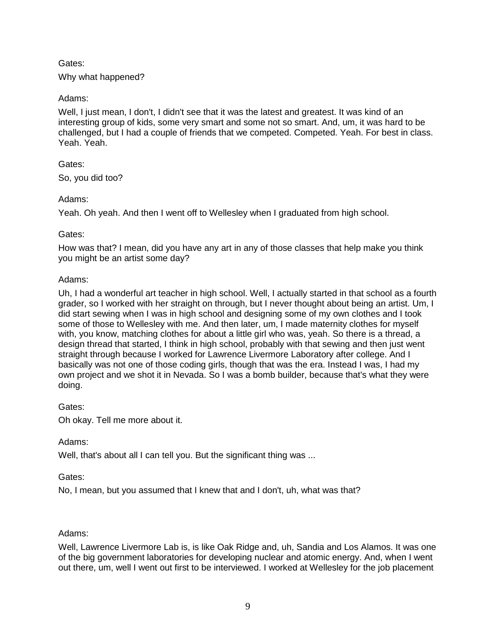# Why what happened?

# Adams:

Well, I just mean, I don't, I didn't see that it was the latest and greatest. It was kind of an interesting group of kids, some very smart and some not so smart. And, um, it was hard to be challenged, but I had a couple of friends that we competed. Competed. Yeah. For best in class. Yeah. Yeah.

# Gates:

So, you did too?

# Adams:

Yeah. Oh yeah. And then I went off to Wellesley when I graduated from high school.

# Gates:

How was that? I mean, did you have any art in any of those classes that help make you think you might be an artist some day?

# Adams:

Uh, I had a wonderful art teacher in high school. Well, I actually started in that school as a fourth grader, so I worked with her straight on through, but I never thought about being an artist. Um, I did start sewing when I was in high school and designing some of my own clothes and I took some of those to Wellesley with me. And then later, um, I made maternity clothes for myself with, you know, matching clothes for about a little girl who was, yeah. So there is a thread, a design thread that started, I think in high school, probably with that sewing and then just went straight through because I worked for Lawrence Livermore Laboratory after college. And I basically was not one of those coding girls, though that was the era. Instead I was, I had my own project and we shot it in Nevada. So I was a bomb builder, because that's what they were doing.

# Gates:

Oh okay. Tell me more about it.

# Adams:

Well, that's about all I can tell you. But the significant thing was ...

# Gates:

No, I mean, but you assumed that I knew that and I don't, uh, what was that?

# Adams:

Well, Lawrence Livermore Lab is, is like Oak Ridge and, uh, Sandia and Los Alamos. It was one of the big government laboratories for developing nuclear and atomic energy. And, when I went out there, um, well I went out first to be interviewed. I worked at Wellesley for the job placement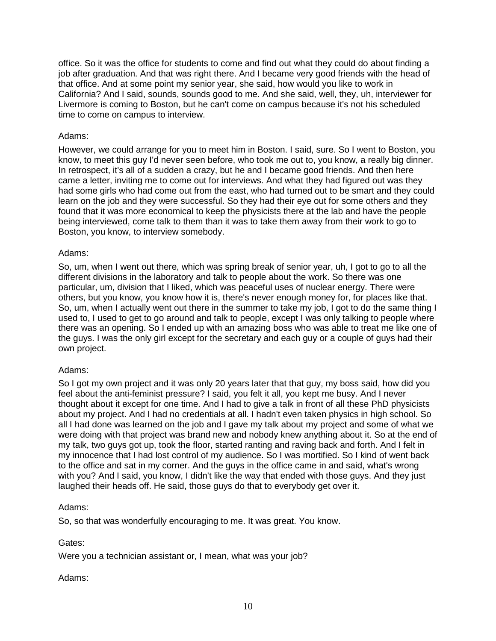office. So it was the office for students to come and find out what they could do about finding a job after graduation. And that was right there. And I became very good friends with the head of that office. And at some point my senior year, she said, how would you like to work in California? And I said, sounds, sounds good to me. And she said, well, they, uh, interviewer for Livermore is coming to Boston, but he can't come on campus because it's not his scheduled time to come on campus to interview.

#### Adams:

However, we could arrange for you to meet him in Boston. I said, sure. So I went to Boston, you know, to meet this guy I'd never seen before, who took me out to, you know, a really big dinner. In retrospect, it's all of a sudden a crazy, but he and I became good friends. And then here came a letter, inviting me to come out for interviews. And what they had figured out was they had some girls who had come out from the east, who had turned out to be smart and they could learn on the job and they were successful. So they had their eye out for some others and they found that it was more economical to keep the physicists there at the lab and have the people being interviewed, come talk to them than it was to take them away from their work to go to Boston, you know, to interview somebody.

#### Adams:

So, um, when I went out there, which was spring break of senior year, uh, I got to go to all the different divisions in the laboratory and talk to people about the work. So there was one particular, um, division that I liked, which was peaceful uses of nuclear energy. There were others, but you know, you know how it is, there's never enough money for, for places like that. So, um, when I actually went out there in the summer to take my job, I got to do the same thing I used to, I used to get to go around and talk to people, except I was only talking to people where there was an opening. So I ended up with an amazing boss who was able to treat me like one of the guys. I was the only girl except for the secretary and each guy or a couple of guys had their own project.

# Adams:

So I got my own project and it was only 20 years later that that guy, my boss said, how did you feel about the anti-feminist pressure? I said, you felt it all, you kept me busy. And I never thought about it except for one time. And I had to give a talk in front of all these PhD physicists about my project. And I had no credentials at all. I hadn't even taken physics in high school. So all I had done was learned on the job and I gave my talk about my project and some of what we were doing with that project was brand new and nobody knew anything about it. So at the end of my talk, two guys got up, took the floor, started ranting and raving back and forth. And I felt in my innocence that I had lost control of my audience. So I was mortified. So I kind of went back to the office and sat in my corner. And the guys in the office came in and said, what's wrong with you? And I said, you know, I didn't like the way that ended with those guys. And they just laughed their heads off. He said, those guys do that to everybody get over it.

# Adams:

So, so that was wonderfully encouraging to me. It was great. You know.

# Gates:

Were you a technician assistant or, I mean, what was your job?

# Adams: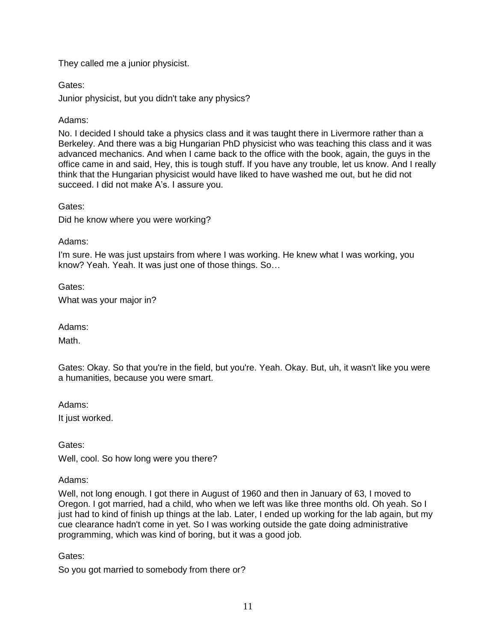# They called me a junior physicist.

Gates:

Junior physicist, but you didn't take any physics?

# Adams:

No. I decided I should take a physics class and it was taught there in Livermore rather than a Berkeley. And there was a big Hungarian PhD physicist who was teaching this class and it was advanced mechanics. And when I came back to the office with the book, again, the guys in the office came in and said, Hey, this is tough stuff. If you have any trouble, let us know. And I really think that the Hungarian physicist would have liked to have washed me out, but he did not succeed. I did not make A's. I assure you.

Gates:

Did he know where you were working?

# Adams:

I'm sure. He was just upstairs from where I was working. He knew what I was working, you know? Yeah. Yeah. It was just one of those things. So…

Gates:

What was your major in?

Adams:

Math.

Gates: Okay. So that you're in the field, but you're. Yeah. Okay. But, uh, it wasn't like you were a humanities, because you were smart.

Adams:

It just worked.

Gates:

Well, cool. So how long were you there?

Adams:

Well, not long enough. I got there in August of 1960 and then in January of 63, I moved to Oregon. I got married, had a child, who when we left was like three months old. Oh yeah. So I just had to kind of finish up things at the lab. Later, I ended up working for the lab again, but my cue clearance hadn't come in yet. So I was working outside the gate doing administrative programming, which was kind of boring, but it was a good job.

Gates:

So you got married to somebody from there or?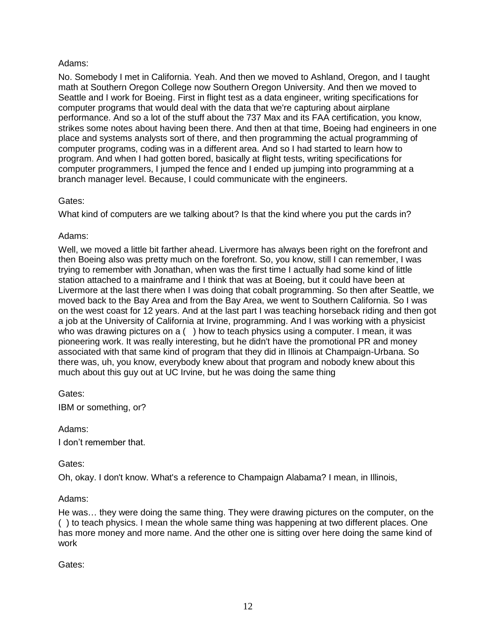# Adams:

No. Somebody I met in California. Yeah. And then we moved to Ashland, Oregon, and I taught math at Southern Oregon College now Southern Oregon University. And then we moved to Seattle and I work for Boeing. First in flight test as a data engineer, writing specifications for computer programs that would deal with the data that we're capturing about airplane performance. And so a lot of the stuff about the 737 Max and its FAA certification, you know, strikes some notes about having been there. And then at that time, Boeing had engineers in one place and systems analysts sort of there, and then programming the actual programming of computer programs, coding was in a different area. And so I had started to learn how to program. And when I had gotten bored, basically at flight tests, writing specifications for computer programmers, I jumped the fence and I ended up jumping into programming at a branch manager level. Because, I could communicate with the engineers.

# Gates:

What kind of computers are we talking about? Is that the kind where you put the cards in?

# Adams:

Well, we moved a little bit farther ahead. Livermore has always been right on the forefront and then Boeing also was pretty much on the forefront. So, you know, still I can remember, I was trying to remember with Jonathan, when was the first time I actually had some kind of little station attached to a mainframe and I think that was at Boeing, but it could have been at Livermore at the last there when I was doing that cobalt programming. So then after Seattle, we moved back to the Bay Area and from the Bay Area, we went to Southern California. So I was on the west coast for 12 years. And at the last part I was teaching horseback riding and then got a job at the University of California at Irvine, programming. And I was working with a physicist who was drawing pictures on a () how to teach physics using a computer. I mean, it was pioneering work. It was really interesting, but he didn't have the promotional PR and money associated with that same kind of program that they did in Illinois at Champaign-Urbana. So there was, uh, you know, everybody knew about that program and nobody knew about this much about this guy out at UC Irvine, but he was doing the same thing

Gates: IBM or something, or?

Adams:

I don't remember that.

Gates:

Oh, okay. I don't know. What's a reference to Champaign Alabama? I mean, in Illinois,

# Adams:

He was… they were doing the same thing. They were drawing pictures on the computer, on the ( ) to teach physics. I mean the whole same thing was happening at two different places. One has more money and more name. And the other one is sitting over here doing the same kind of work

Gates: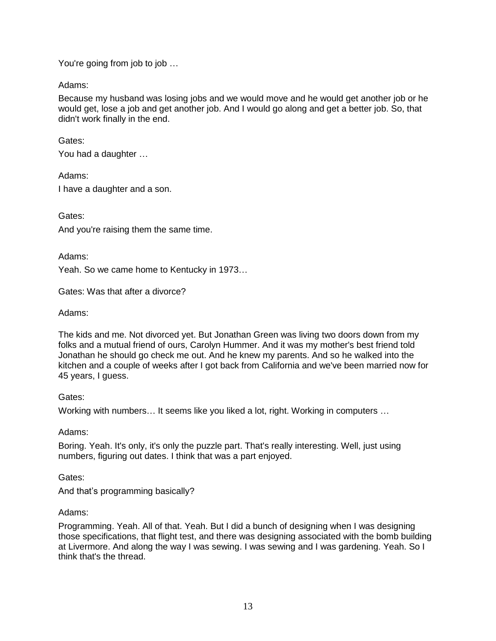You're going from job to job …

Adams:

Because my husband was losing jobs and we would move and he would get another job or he would get, lose a job and get another job. And I would go along and get a better job. So, that didn't work finally in the end.

Gates:

You had a daughter …

Adams:

I have a daughter and a son.

Gates:

And you're raising them the same time.

Adams:

Yeah. So we came home to Kentucky in 1973…

Gates: Was that after a divorce?

Adams:

The kids and me. Not divorced yet. But Jonathan Green was living two doors down from my folks and a mutual friend of ours, Carolyn Hummer. And it was my mother's best friend told Jonathan he should go check me out. And he knew my parents. And so he walked into the kitchen and a couple of weeks after I got back from California and we've been married now for 45 years, I guess.

# Gates:

Working with numbers… It seems like you liked a lot, right. Working in computers …

Adams:

Boring. Yeah. It's only, it's only the puzzle part. That's really interesting. Well, just using numbers, figuring out dates. I think that was a part enjoyed.

# Gates:

And that's programming basically?

# Adams:

Programming. Yeah. All of that. Yeah. But I did a bunch of designing when I was designing those specifications, that flight test, and there was designing associated with the bomb building at Livermore. And along the way I was sewing. I was sewing and I was gardening. Yeah. So I think that's the thread.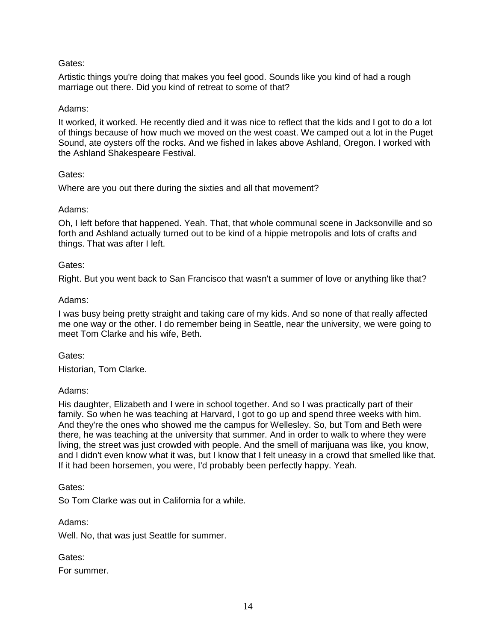Artistic things you're doing that makes you feel good. Sounds like you kind of had a rough marriage out there. Did you kind of retreat to some of that?

### Adams:

It worked, it worked. He recently died and it was nice to reflect that the kids and I got to do a lot of things because of how much we moved on the west coast. We camped out a lot in the Puget Sound, ate oysters off the rocks. And we fished in lakes above Ashland, Oregon. I worked with the Ashland Shakespeare Festival.

#### Gates:

Where are you out there during the sixties and all that movement?

#### Adams:

Oh, I left before that happened. Yeah. That, that whole communal scene in Jacksonville and so forth and Ashland actually turned out to be kind of a hippie metropolis and lots of crafts and things. That was after I left.

#### Gates:

Right. But you went back to San Francisco that wasn't a summer of love or anything like that?

#### Adams:

I was busy being pretty straight and taking care of my kids. And so none of that really affected me one way or the other. I do remember being in Seattle, near the university, we were going to meet Tom Clarke and his wife, Beth.

#### Gates:

Historian, Tom Clarke.

# Adams:

His daughter, Elizabeth and I were in school together. And so I was practically part of their family. So when he was teaching at Harvard, I got to go up and spend three weeks with him. And they're the ones who showed me the campus for Wellesley. So, but Tom and Beth were there, he was teaching at the university that summer. And in order to walk to where they were living, the street was just crowded with people. And the smell of marijuana was like, you know, and I didn't even know what it was, but I know that I felt uneasy in a crowd that smelled like that. If it had been horsemen, you were, I'd probably been perfectly happy. Yeah.

Gates:

So Tom Clarke was out in California for a while.

Adams:

Well. No, that was just Seattle for summer.

Gates: For summer.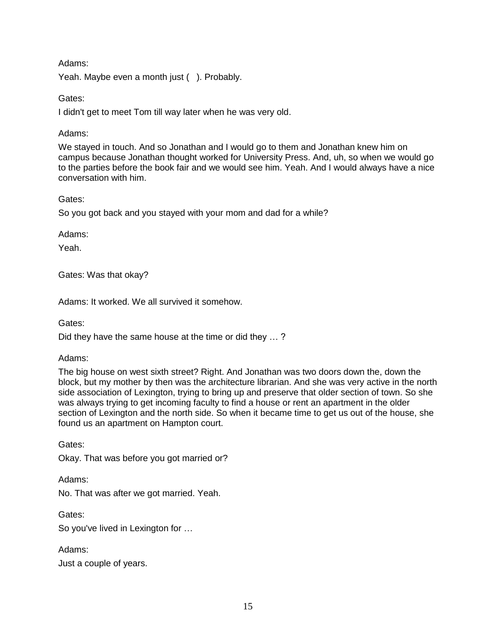# Adams:

Yeah. Maybe even a month just (). Probably.

# Gates:

I didn't get to meet Tom till way later when he was very old.

# Adams:

We stayed in touch. And so Jonathan and I would go to them and Jonathan knew him on campus because Jonathan thought worked for University Press. And, uh, so when we would go to the parties before the book fair and we would see him. Yeah. And I would always have a nice conversation with him.

# Gates:

So you got back and you stayed with your mom and dad for a while?

Adams:

Yeah.

Gates: Was that okay?

Adams: It worked. We all survived it somehow.

Gates:

Did they have the same house at the time or did they … ?

# Adams:

The big house on west sixth street? Right. And Jonathan was two doors down the, down the block, but my mother by then was the architecture librarian. And she was very active in the north side association of Lexington, trying to bring up and preserve that older section of town. So she was always trying to get incoming faculty to find a house or rent an apartment in the older section of Lexington and the north side. So when it became time to get us out of the house, she found us an apartment on Hampton court.

Gates:

Okay. That was before you got married or?

Adams:

No. That was after we got married. Yeah.

Gates:

So you've lived in Lexington for …

Adams: Just a couple of years.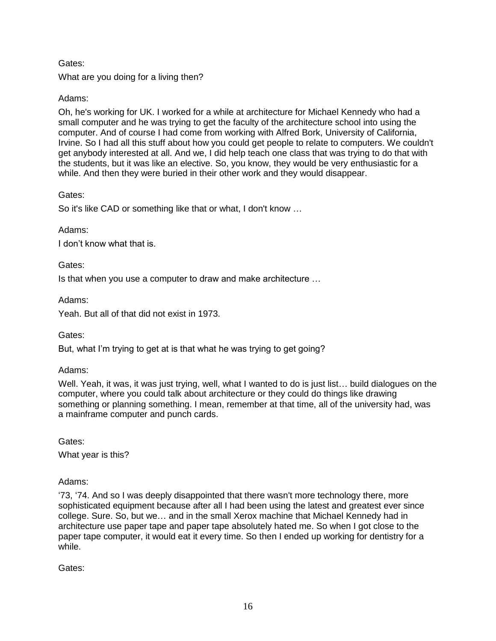What are you doing for a living then?

# Adams:

Oh, he's working for UK. I worked for a while at architecture for Michael Kennedy who had a small computer and he was trying to get the faculty of the architecture school into using the computer. And of course I had come from working with Alfred Bork, University of California, Irvine. So I had all this stuff about how you could get people to relate to computers. We couldn't get anybody interested at all. And we, I did help teach one class that was trying to do that with the students, but it was like an elective. So, you know, they would be very enthusiastic for a while. And then they were buried in their other work and they would disappear.

# Gates:

So it's like CAD or something like that or what, I don't know …

# Adams:

I don't know what that is.

# Gates:

Is that when you use a computer to draw and make architecture …

# Adams:

Yeah. But all of that did not exist in 1973.

# Gates:

But, what I'm trying to get at is that what he was trying to get going?

# Adams:

Well. Yeah, it was, it was just trying, well, what I wanted to do is just list... build dialogues on the computer, where you could talk about architecture or they could do things like drawing something or planning something. I mean, remember at that time, all of the university had, was a mainframe computer and punch cards.

Gates: What year is this?

# Adams:

'73, '74. And so I was deeply disappointed that there wasn't more technology there, more sophisticated equipment because after all I had been using the latest and greatest ever since college. Sure. So, but we… and in the small Xerox machine that Michael Kennedy had in architecture use paper tape and paper tape absolutely hated me. So when I got close to the paper tape computer, it would eat it every time. So then I ended up working for dentistry for a while.

Gates: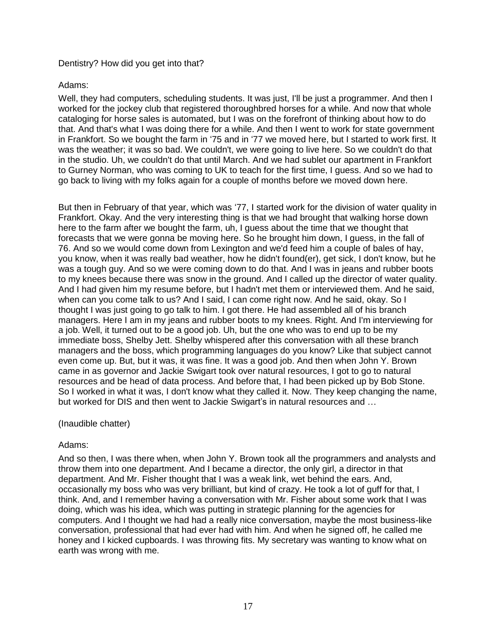## Dentistry? How did you get into that?

#### Adams:

Well, they had computers, scheduling students. It was just, I'll be just a programmer. And then I worked for the jockey club that registered thoroughbred horses for a while. And now that whole cataloging for horse sales is automated, but I was on the forefront of thinking about how to do that. And that's what I was doing there for a while. And then I went to work for state government in Frankfort. So we bought the farm in '75 and in '77 we moved here, but I started to work first. It was the weather; it was so bad. We couldn't, we were going to live here. So we couldn't do that in the studio. Uh, we couldn't do that until March. And we had sublet our apartment in Frankfort to Gurney Norman, who was coming to UK to teach for the first time, I guess. And so we had to go back to living with my folks again for a couple of months before we moved down here.

But then in February of that year, which was '77, I started work for the division of water quality in Frankfort. Okay. And the very interesting thing is that we had brought that walking horse down here to the farm after we bought the farm, uh, I guess about the time that we thought that forecasts that we were gonna be moving here. So he brought him down, I guess, in the fall of 76. And so we would come down from Lexington and we'd feed him a couple of bales of hay, you know, when it was really bad weather, how he didn't found(er), get sick, I don't know, but he was a tough guy. And so we were coming down to do that. And I was in jeans and rubber boots to my knees because there was snow in the ground. And I called up the director of water quality. And I had given him my resume before, but I hadn't met them or interviewed them. And he said, when can you come talk to us? And I said, I can come right now. And he said, okay. So I thought I was just going to go talk to him. I got there. He had assembled all of his branch managers. Here I am in my jeans and rubber boots to my knees. Right. And I'm interviewing for a job. Well, it turned out to be a good job. Uh, but the one who was to end up to be my immediate boss, Shelby Jett. Shelby whispered after this conversation with all these branch managers and the boss, which programming languages do you know? Like that subject cannot even come up. But, but it was, it was fine. It was a good job. And then when John Y. Brown came in as governor and Jackie Swigart took over natural resources, I got to go to natural resources and be head of data process. And before that, I had been picked up by Bob Stone. So I worked in what it was, I don't know what they called it. Now. They keep changing the name, but worked for DIS and then went to Jackie Swigart's in natural resources and …

#### (Inaudible chatter)

# Adams:

And so then, I was there when, when John Y. Brown took all the programmers and analysts and throw them into one department. And I became a director, the only girl, a director in that department. And Mr. Fisher thought that I was a weak link, wet behind the ears. And, occasionally my boss who was very brilliant, but kind of crazy. He took a lot of guff for that, I think. And, and I remember having a conversation with Mr. Fisher about some work that I was doing, which was his idea, which was putting in strategic planning for the agencies for computers. And I thought we had had a really nice conversation, maybe the most business-like conversation, professional that had ever had with him. And when he signed off, he called me honey and I kicked cupboards. I was throwing fits. My secretary was wanting to know what on earth was wrong with me.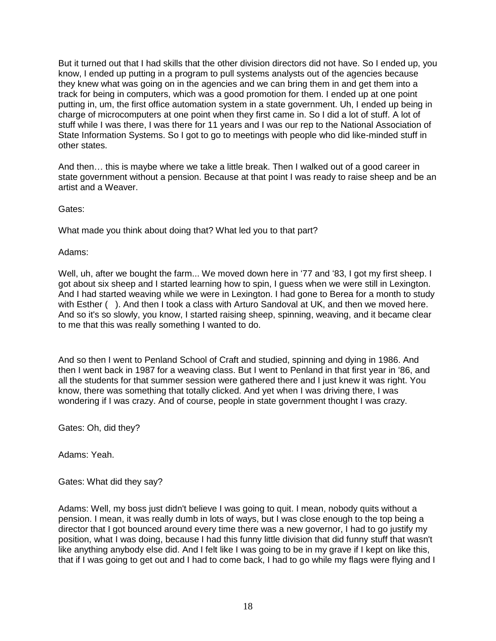But it turned out that I had skills that the other division directors did not have. So I ended up, you know, I ended up putting in a program to pull systems analysts out of the agencies because they knew what was going on in the agencies and we can bring them in and get them into a track for being in computers, which was a good promotion for them. I ended up at one point putting in, um, the first office automation system in a state government. Uh, I ended up being in charge of microcomputers at one point when they first came in. So I did a lot of stuff. A lot of stuff while I was there, I was there for 11 years and I was our rep to the National Association of State Information Systems. So I got to go to meetings with people who did like-minded stuff in other states.

And then… this is maybe where we take a little break. Then I walked out of a good career in state government without a pension. Because at that point I was ready to raise sheep and be an artist and a Weaver.

Gates:

What made you think about doing that? What led you to that part?

Adams:

Well, uh, after we bought the farm... We moved down here in '77 and '83, I got my first sheep. I got about six sheep and I started learning how to spin, I guess when we were still in Lexington. And I had started weaving while we were in Lexington. I had gone to Berea for a month to study with Esther (). And then I took a class with Arturo Sandoval at UK, and then we moved here. And so it's so slowly, you know, I started raising sheep, spinning, weaving, and it became clear to me that this was really something I wanted to do.

And so then I went to Penland School of Craft and studied, spinning and dying in 1986. And then I went back in 1987 for a weaving class. But I went to Penland in that first year in '86, and all the students for that summer session were gathered there and I just knew it was right. You know, there was something that totally clicked. And yet when I was driving there, I was wondering if I was crazy. And of course, people in state government thought I was crazy.

Gates: Oh, did they?

Adams: Yeah.

Gates: What did they say?

Adams: Well, my boss just didn't believe I was going to quit. I mean, nobody quits without a pension. I mean, it was really dumb in lots of ways, but I was close enough to the top being a director that I got bounced around every time there was a new governor, I had to go justify my position, what I was doing, because I had this funny little division that did funny stuff that wasn't like anything anybody else did. And I felt like I was going to be in my grave if I kept on like this, that if I was going to get out and I had to come back, I had to go while my flags were flying and I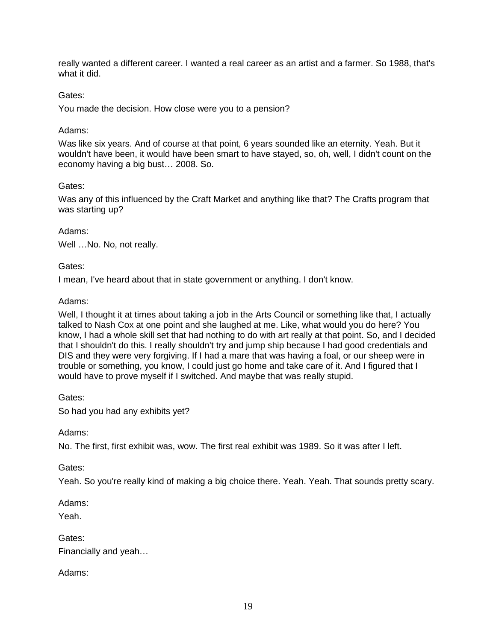really wanted a different career. I wanted a real career as an artist and a farmer. So 1988, that's what it did.

# Gates:

You made the decision. How close were you to a pension?

#### Adams:

Was like six years. And of course at that point, 6 years sounded like an eternity. Yeah. But it wouldn't have been, it would have been smart to have stayed, so, oh, well, I didn't count on the economy having a big bust… 2008. So.

#### Gates:

Was any of this influenced by the Craft Market and anything like that? The Crafts program that was starting up?

#### Adams:

Well ... No. No, not really.

#### Gates:

I mean, I've heard about that in state government or anything. I don't know.

#### Adams:

Well, I thought it at times about taking a job in the Arts Council or something like that, I actually talked to Nash Cox at one point and she laughed at me. Like, what would you do here? You know, I had a whole skill set that had nothing to do with art really at that point. So, and I decided that I shouldn't do this. I really shouldn't try and jump ship because I had good credentials and DIS and they were very forgiving. If I had a mare that was having a foal, or our sheep were in trouble or something, you know, I could just go home and take care of it. And I figured that I would have to prove myself if I switched. And maybe that was really stupid.

Gates:

So had you had any exhibits yet?

Adams:

No. The first, first exhibit was, wow. The first real exhibit was 1989. So it was after I left.

# Gates:

Yeah. So you're really kind of making a big choice there. Yeah. Yeah. That sounds pretty scary.

Adams:

Yeah.

| Gates:               |
|----------------------|
| Financially and yeah |

Adams: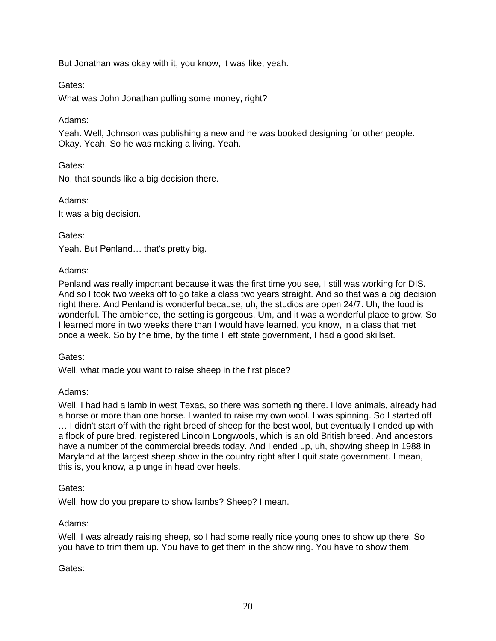But Jonathan was okay with it, you know, it was like, yeah.

### Gates:

What was John Jonathan pulling some money, right?

#### Adams:

Yeah. Well, Johnson was publishing a new and he was booked designing for other people. Okay. Yeah. So he was making a living. Yeah.

Gates:

No, that sounds like a big decision there.

Adams:

It was a big decision.

Gates:

Yeah. But Penland… that's pretty big.

#### Adams:

Penland was really important because it was the first time you see, I still was working for DIS. And so I took two weeks off to go take a class two years straight. And so that was a big decision right there. And Penland is wonderful because, uh, the studios are open 24/7. Uh, the food is wonderful. The ambience, the setting is gorgeous. Um, and it was a wonderful place to grow. So I learned more in two weeks there than I would have learned, you know, in a class that met once a week. So by the time, by the time I left state government, I had a good skillset.

#### Gates:

Well, what made you want to raise sheep in the first place?

# Adams:

Well, I had had a lamb in west Texas, so there was something there. I love animals, already had a horse or more than one horse. I wanted to raise my own wool. I was spinning. So I started off … I didn't start off with the right breed of sheep for the best wool, but eventually I ended up with a flock of pure bred, registered Lincoln Longwools, which is an old British breed. And ancestors have a number of the commercial breeds today. And I ended up, uh, showing sheep in 1988 in Maryland at the largest sheep show in the country right after I quit state government. I mean, this is, you know, a plunge in head over heels.

#### Gates:

Well, how do you prepare to show lambs? Sheep? I mean.

# Adams:

Well, I was already raising sheep, so I had some really nice young ones to show up there. So you have to trim them up. You have to get them in the show ring. You have to show them.

#### Gates: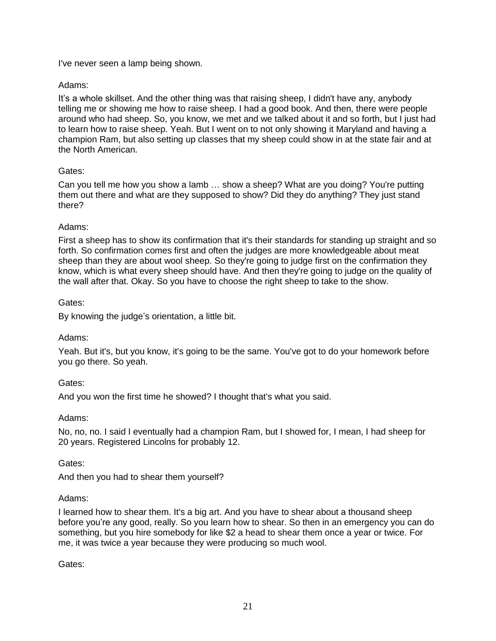I've never seen a lamp being shown.

# Adams:

It's a whole skillset. And the other thing was that raising sheep, I didn't have any, anybody telling me or showing me how to raise sheep. I had a good book. And then, there were people around who had sheep. So, you know, we met and we talked about it and so forth, but I just had to learn how to raise sheep. Yeah. But I went on to not only showing it Maryland and having a champion Ram, but also setting up classes that my sheep could show in at the state fair and at the North American.

# Gates:

Can you tell me how you show a lamb … show a sheep? What are you doing? You're putting them out there and what are they supposed to show? Did they do anything? They just stand there?

# Adams:

First a sheep has to show its confirmation that it's their standards for standing up straight and so forth. So confirmation comes first and often the judges are more knowledgeable about meat sheep than they are about wool sheep. So they're going to judge first on the confirmation they know, which is what every sheep should have. And then they're going to judge on the quality of the wall after that. Okay. So you have to choose the right sheep to take to the show.

# Gates:

By knowing the judge's orientation, a little bit.

# Adams:

Yeah. But it's, but you know, it's going to be the same. You've got to do your homework before you go there. So yeah.

Gates:

And you won the first time he showed? I thought that's what you said.

# Adams:

No, no, no. I said I eventually had a champion Ram, but I showed for, I mean, I had sheep for 20 years. Registered Lincolns for probably 12.

Gates:

And then you had to shear them yourself?

# Adams:

I learned how to shear them. It's a big art. And you have to shear about a thousand sheep before you're any good, really. So you learn how to shear. So then in an emergency you can do something, but you hire somebody for like \$2 a head to shear them once a year or twice. For me, it was twice a year because they were producing so much wool.

Gates: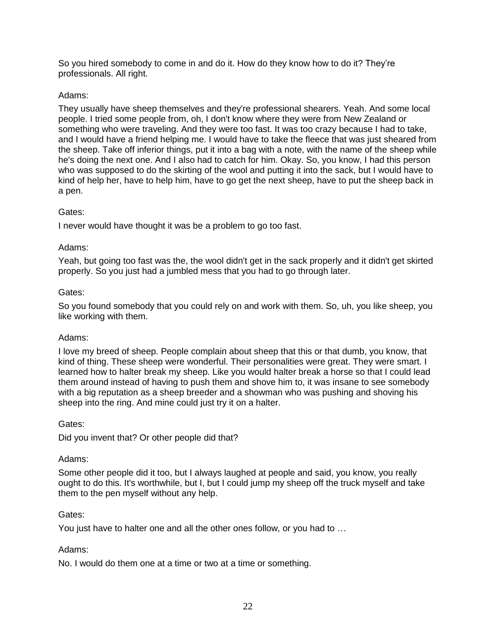So you hired somebody to come in and do it. How do they know how to do it? They're professionals. All right.

# Adams:

They usually have sheep themselves and they're professional shearers. Yeah. And some local people. I tried some people from, oh, I don't know where they were from New Zealand or something who were traveling. And they were too fast. It was too crazy because I had to take, and I would have a friend helping me. I would have to take the fleece that was just sheared from the sheep. Take off inferior things, put it into a bag with a note, with the name of the sheep while he's doing the next one. And I also had to catch for him. Okay. So, you know, I had this person who was supposed to do the skirting of the wool and putting it into the sack, but I would have to kind of help her, have to help him, have to go get the next sheep, have to put the sheep back in a pen.

# Gates:

I never would have thought it was be a problem to go too fast.

# Adams:

Yeah, but going too fast was the, the wool didn't get in the sack properly and it didn't get skirted properly. So you just had a jumbled mess that you had to go through later.

# Gates:

So you found somebody that you could rely on and work with them. So, uh, you like sheep, you like working with them.

# Adams:

I love my breed of sheep. People complain about sheep that this or that dumb, you know, that kind of thing. These sheep were wonderful. Their personalities were great. They were smart. I learned how to halter break my sheep. Like you would halter break a horse so that I could lead them around instead of having to push them and shove him to, it was insane to see somebody with a big reputation as a sheep breeder and a showman who was pushing and shoving his sheep into the ring. And mine could just try it on a halter.

# Gates:

Did you invent that? Or other people did that?

# Adams:

Some other people did it too, but I always laughed at people and said, you know, you really ought to do this. It's worthwhile, but I, but I could jump my sheep off the truck myself and take them to the pen myself without any help.

# Gates:

You just have to halter one and all the other ones follow, or you had to …

# Adams:

No. I would do them one at a time or two at a time or something.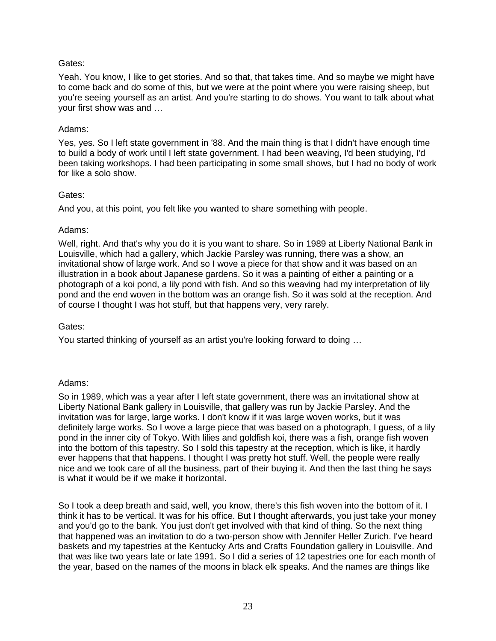Yeah. You know, I like to get stories. And so that, that takes time. And so maybe we might have to come back and do some of this, but we were at the point where you were raising sheep, but you're seeing yourself as an artist. And you're starting to do shows. You want to talk about what your first show was and …

### Adams:

Yes, yes. So I left state government in '88. And the main thing is that I didn't have enough time to build a body of work until I left state government. I had been weaving, I'd been studying, I'd been taking workshops. I had been participating in some small shows, but I had no body of work for like a solo show.

# Gates:

And you, at this point, you felt like you wanted to share something with people.

#### Adams:

Well, right. And that's why you do it is you want to share. So in 1989 at Liberty National Bank in Louisville, which had a gallery, which Jackie Parsley was running, there was a show, an invitational show of large work. And so I wove a piece for that show and it was based on an illustration in a book about Japanese gardens. So it was a painting of either a painting or a photograph of a koi pond, a lily pond with fish. And so this weaving had my interpretation of lily pond and the end woven in the bottom was an orange fish. So it was sold at the reception. And of course I thought I was hot stuff, but that happens very, very rarely.

# Gates:

You started thinking of yourself as an artist you're looking forward to doing …

# Adams:

So in 1989, which was a year after I left state government, there was an invitational show at Liberty National Bank gallery in Louisville, that gallery was run by Jackie Parsley. And the invitation was for large, large works. I don't know if it was large woven works, but it was definitely large works. So I wove a large piece that was based on a photograph, I guess, of a lily pond in the inner city of Tokyo. With lilies and goldfish koi, there was a fish, orange fish woven into the bottom of this tapestry. So I sold this tapestry at the reception, which is like, it hardly ever happens that that happens. I thought I was pretty hot stuff. Well, the people were really nice and we took care of all the business, part of their buying it. And then the last thing he says is what it would be if we make it horizontal.

So I took a deep breath and said, well, you know, there's this fish woven into the bottom of it. I think it has to be vertical. It was for his office. But I thought afterwards, you just take your money and you'd go to the bank. You just don't get involved with that kind of thing. So the next thing that happened was an invitation to do a two-person show with Jennifer Heller Zurich. I've heard baskets and my tapestries at the Kentucky Arts and Crafts Foundation gallery in Louisville. And that was like two years late or late 1991. So I did a series of 12 tapestries one for each month of the year, based on the names of the moons in black elk speaks. And the names are things like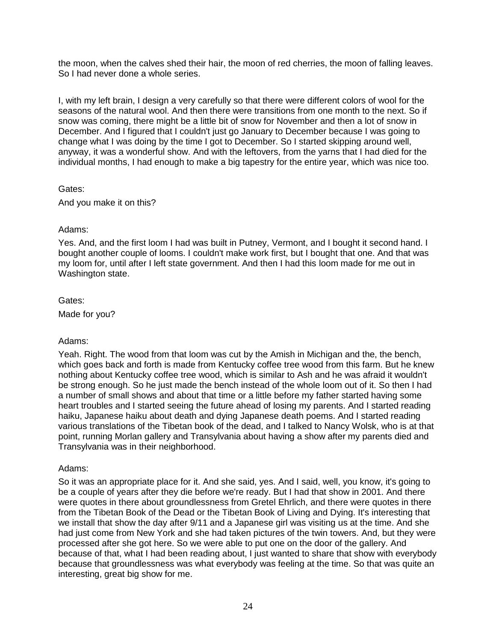the moon, when the calves shed their hair, the moon of red cherries, the moon of falling leaves. So I had never done a whole series.

I, with my left brain, I design a very carefully so that there were different colors of wool for the seasons of the natural wool. And then there were transitions from one month to the next. So if snow was coming, there might be a little bit of snow for November and then a lot of snow in December. And I figured that I couldn't just go January to December because I was going to change what I was doing by the time I got to December. So I started skipping around well, anyway, it was a wonderful show. And with the leftovers, from the yarns that I had died for the individual months, I had enough to make a big tapestry for the entire year, which was nice too.

# Gates:

And you make it on this?

#### Adams:

Yes. And, and the first loom I had was built in Putney, Vermont, and I bought it second hand. I bought another couple of looms. I couldn't make work first, but I bought that one. And that was my loom for, until after I left state government. And then I had this loom made for me out in Washington state.

#### Gates:

Made for you?

# Adams:

Yeah. Right. The wood from that loom was cut by the Amish in Michigan and the, the bench, which goes back and forth is made from Kentucky coffee tree wood from this farm. But he knew nothing about Kentucky coffee tree wood, which is similar to Ash and he was afraid it wouldn't be strong enough. So he just made the bench instead of the whole loom out of it. So then I had a number of small shows and about that time or a little before my father started having some heart troubles and I started seeing the future ahead of losing my parents. And I started reading haiku, Japanese haiku about death and dying Japanese death poems. And I started reading various translations of the Tibetan book of the dead, and I talked to Nancy Wolsk, who is at that point, running Morlan gallery and Transylvania about having a show after my parents died and Transylvania was in their neighborhood.

# Adams:

So it was an appropriate place for it. And she said, yes. And I said, well, you know, it's going to be a couple of years after they die before we're ready. But I had that show in 2001. And there were quotes in there about groundlessness from Gretel Ehrlich, and there were quotes in there from the Tibetan Book of the Dead or the Tibetan Book of Living and Dying. It's interesting that we install that show the day after 9/11 and a Japanese girl was visiting us at the time. And she had just come from New York and she had taken pictures of the twin towers. And, but they were processed after she got here. So we were able to put one on the door of the gallery. And because of that, what I had been reading about, I just wanted to share that show with everybody because that groundlessness was what everybody was feeling at the time. So that was quite an interesting, great big show for me.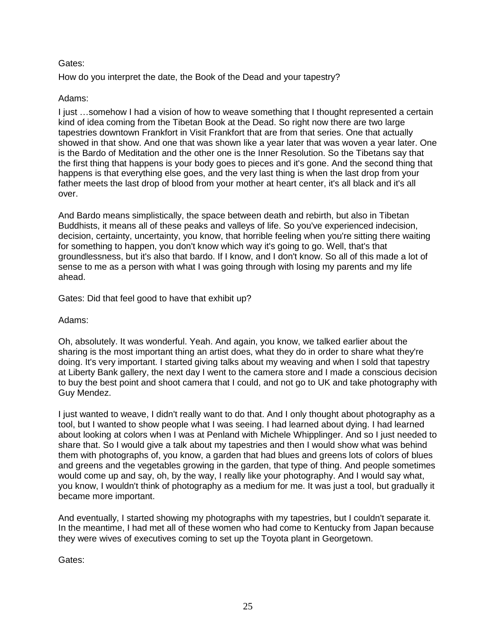How do you interpret the date, the Book of the Dead and your tapestry?

# Adams:

I just …somehow I had a vision of how to weave something that I thought represented a certain kind of idea coming from the Tibetan Book at the Dead. So right now there are two large tapestries downtown Frankfort in Visit Frankfort that are from that series. One that actually showed in that show. And one that was shown like a year later that was woven a year later. One is the Bardo of Meditation and the other one is the Inner Resolution. So the Tibetans say that the first thing that happens is your body goes to pieces and it's gone. And the second thing that happens is that everything else goes, and the very last thing is when the last drop from your father meets the last drop of blood from your mother at heart center, it's all black and it's all over.

And Bardo means simplistically, the space between death and rebirth, but also in Tibetan Buddhists, it means all of these peaks and valleys of life. So you've experienced indecision, decision, certainty, uncertainty, you know, that horrible feeling when you're sitting there waiting for something to happen, you don't know which way it's going to go. Well, that's that groundlessness, but it's also that bardo. If I know, and I don't know. So all of this made a lot of sense to me as a person with what I was going through with losing my parents and my life ahead.

Gates: Did that feel good to have that exhibit up?

Adams:

Oh, absolutely. It was wonderful. Yeah. And again, you know, we talked earlier about the sharing is the most important thing an artist does, what they do in order to share what they're doing. It's very important. I started giving talks about my weaving and when I sold that tapestry at Liberty Bank gallery, the next day I went to the camera store and I made a conscious decision to buy the best point and shoot camera that I could, and not go to UK and take photography with Guy Mendez.

I just wanted to weave, I didn't really want to do that. And I only thought about photography as a tool, but I wanted to show people what I was seeing. I had learned about dying. I had learned about looking at colors when I was at Penland with Michele Whipplinger. And so I just needed to share that. So I would give a talk about my tapestries and then I would show what was behind them with photographs of, you know, a garden that had blues and greens lots of colors of blues and greens and the vegetables growing in the garden, that type of thing. And people sometimes would come up and say, oh, by the way, I really like your photography. And I would say what, you know, I wouldn't think of photography as a medium for me. It was just a tool, but gradually it became more important.

And eventually, I started showing my photographs with my tapestries, but I couldn't separate it. In the meantime, I had met all of these women who had come to Kentucky from Japan because they were wives of executives coming to set up the Toyota plant in Georgetown.

Gates: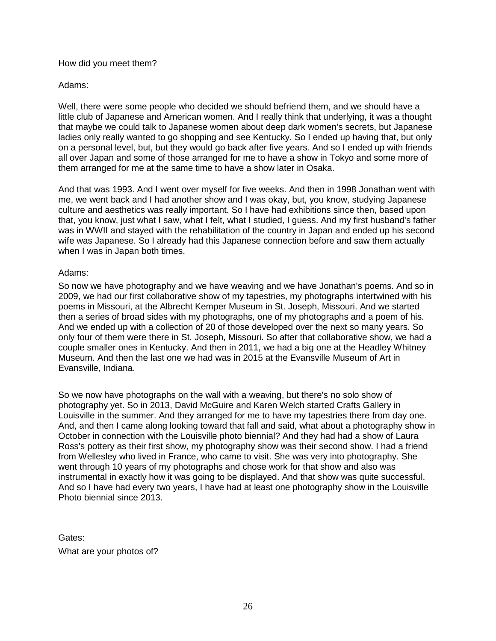#### How did you meet them?

# Adams:

Well, there were some people who decided we should befriend them, and we should have a little club of Japanese and American women. And I really think that underlying, it was a thought that maybe we could talk to Japanese women about deep dark women's secrets, but Japanese ladies only really wanted to go shopping and see Kentucky. So I ended up having that, but only on a personal level, but, but they would go back after five years. And so I ended up with friends all over Japan and some of those arranged for me to have a show in Tokyo and some more of them arranged for me at the same time to have a show later in Osaka.

And that was 1993. And I went over myself for five weeks. And then in 1998 Jonathan went with me, we went back and I had another show and I was okay, but, you know, studying Japanese culture and aesthetics was really important. So I have had exhibitions since then, based upon that, you know, just what I saw, what I felt, what I studied, I guess. And my first husband's father was in WWII and stayed with the rehabilitation of the country in Japan and ended up his second wife was Japanese. So I already had this Japanese connection before and saw them actually when I was in Japan both times.

#### Adams:

So now we have photography and we have weaving and we have Jonathan's poems. And so in 2009, we had our first collaborative show of my tapestries, my photographs intertwined with his poems in Missouri, at the Albrecht Kemper Museum in St. Joseph, Missouri. And we started then a series of broad sides with my photographs, one of my photographs and a poem of his. And we ended up with a collection of 20 of those developed over the next so many years. So only four of them were there in St. Joseph, Missouri. So after that collaborative show, we had a couple smaller ones in Kentucky. And then in 2011, we had a big one at the Headley Whitney Museum. And then the last one we had was in 2015 at the Evansville Museum of Art in Evansville, Indiana.

So we now have photographs on the wall with a weaving, but there's no solo show of photography yet. So in 2013, David McGuire and Karen Welch started Crafts Gallery in Louisville in the summer. And they arranged for me to have my tapestries there from day one. And, and then I came along looking toward that fall and said, what about a photography show in October in connection with the Louisville photo biennial? And they had had a show of Laura Ross's pottery as their first show, my photography show was their second show. I had a friend from Wellesley who lived in France, who came to visit. She was very into photography. She went through 10 years of my photographs and chose work for that show and also was instrumental in exactly how it was going to be displayed. And that show was quite successful. And so I have had every two years, I have had at least one photography show in the Louisville Photo biennial since 2013.

Gates: What are your photos of?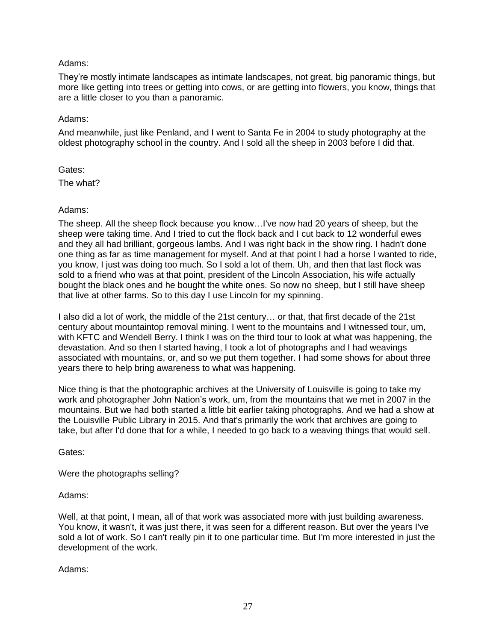# Adams:

They're mostly intimate landscapes as intimate landscapes, not great, big panoramic things, but more like getting into trees or getting into cows, or are getting into flowers, you know, things that are a little closer to you than a panoramic.

# Adams:

And meanwhile, just like Penland, and I went to Santa Fe in 2004 to study photography at the oldest photography school in the country. And I sold all the sheep in 2003 before I did that.

# Gates:

The what?

# Adams:

The sheep. All the sheep flock because you know…I've now had 20 years of sheep, but the sheep were taking time. And I tried to cut the flock back and I cut back to 12 wonderful ewes and they all had brilliant, gorgeous lambs. And I was right back in the show ring. I hadn't done one thing as far as time management for myself. And at that point I had a horse I wanted to ride, you know, I just was doing too much. So I sold a lot of them. Uh, and then that last flock was sold to a friend who was at that point, president of the Lincoln Association, his wife actually bought the black ones and he bought the white ones. So now no sheep, but I still have sheep that live at other farms. So to this day I use Lincoln for my spinning.

I also did a lot of work, the middle of the 21st century… or that, that first decade of the 21st century about mountaintop removal mining. I went to the mountains and I witnessed tour, um, with KFTC and Wendell Berry. I think I was on the third tour to look at what was happening, the devastation. And so then I started having, I took a lot of photographs and I had weavings associated with mountains, or, and so we put them together. I had some shows for about three years there to help bring awareness to what was happening.

Nice thing is that the photographic archives at the University of Louisville is going to take my work and photographer John Nation's work, um, from the mountains that we met in 2007 in the mountains. But we had both started a little bit earlier taking photographs. And we had a show at the Louisville Public Library in 2015. And that's primarily the work that archives are going to take, but after I'd done that for a while, I needed to go back to a weaving things that would sell.

Gates:

Were the photographs selling?

# Adams:

Well, at that point, I mean, all of that work was associated more with just building awareness. You know, it wasn't, it was just there, it was seen for a different reason. But over the years I've sold a lot of work. So I can't really pin it to one particular time. But I'm more interested in just the development of the work.

Adams: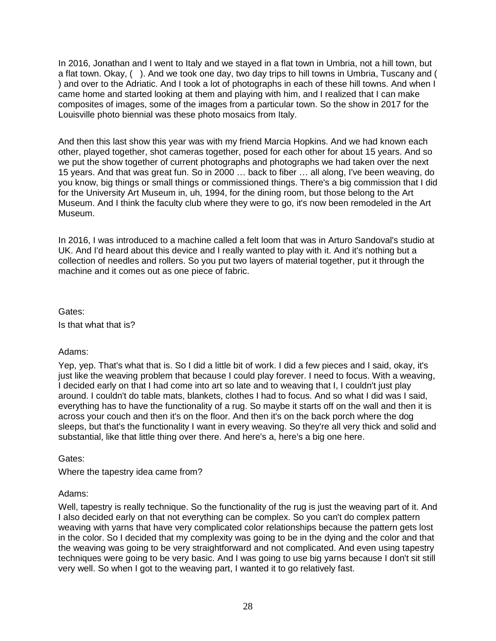In 2016, Jonathan and I went to Italy and we stayed in a flat town in Umbria, not a hill town, but a flat town. Okay, ( ). And we took one day, two day trips to hill towns in Umbria, Tuscany and ( ) and over to the Adriatic. And I took a lot of photographs in each of these hill towns. And when I came home and started looking at them and playing with him, and I realized that I can make composites of images, some of the images from a particular town. So the show in 2017 for the Louisville photo biennial was these photo mosaics from Italy.

And then this last show this year was with my friend Marcia Hopkins. And we had known each other, played together, shot cameras together, posed for each other for about 15 years. And so we put the show together of current photographs and photographs we had taken over the next 15 years. And that was great fun. So in 2000 … back to fiber … all along, I've been weaving, do you know, big things or small things or commissioned things. There's a big commission that I did for the University Art Museum in, uh, 1994, for the dining room, but those belong to the Art Museum. And I think the faculty club where they were to go, it's now been remodeled in the Art Museum.

In 2016, I was introduced to a machine called a felt loom that was in Arturo Sandoval's studio at UK. And I'd heard about this device and I really wanted to play with it. And it's nothing but a collection of needles and rollers. So you put two layers of material together, put it through the machine and it comes out as one piece of fabric.

Gates: Is that what that is?

# Adams:

Yep, yep. That's what that is. So I did a little bit of work. I did a few pieces and I said, okay, it's just like the weaving problem that because I could play forever. I need to focus. With a weaving, I decided early on that I had come into art so late and to weaving that I, I couldn't just play around. I couldn't do table mats, blankets, clothes I had to focus. And so what I did was I said, everything has to have the functionality of a rug. So maybe it starts off on the wall and then it is across your couch and then it's on the floor. And then it's on the back porch where the dog sleeps, but that's the functionality I want in every weaving. So they're all very thick and solid and substantial, like that little thing over there. And here's a, here's a big one here.

Gates:

Where the tapestry idea came from?

# Adams:

Well, tapestry is really technique. So the functionality of the rug is just the weaving part of it. And I also decided early on that not everything can be complex. So you can't do complex pattern weaving with yarns that have very complicated color relationships because the pattern gets lost in the color. So I decided that my complexity was going to be in the dying and the color and that the weaving was going to be very straightforward and not complicated. And even using tapestry techniques were going to be very basic. And I was going to use big yarns because I don't sit still very well. So when I got to the weaving part, I wanted it to go relatively fast.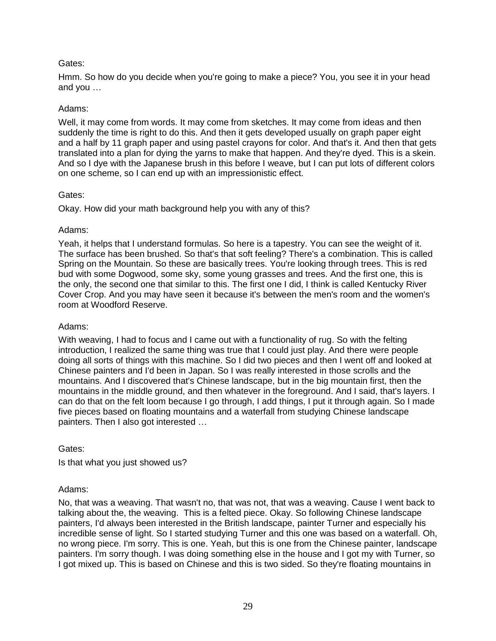Hmm. So how do you decide when you're going to make a piece? You, you see it in your head and you …

### Adams:

Well, it may come from words. It may come from sketches. It may come from ideas and then suddenly the time is right to do this. And then it gets developed usually on graph paper eight and a half by 11 graph paper and using pastel crayons for color. And that's it. And then that gets translated into a plan for dying the yarns to make that happen. And they're dyed. This is a skein. And so I dye with the Japanese brush in this before I weave, but I can put lots of different colors on one scheme, so I can end up with an impressionistic effect.

#### Gates:

Okay. How did your math background help you with any of this?

#### Adams:

Yeah, it helps that I understand formulas. So here is a tapestry. You can see the weight of it. The surface has been brushed. So that's that soft feeling? There's a combination. This is called Spring on the Mountain. So these are basically trees. You're looking through trees. This is red bud with some Dogwood, some sky, some young grasses and trees. And the first one, this is the only, the second one that similar to this. The first one I did, I think is called Kentucky River Cover Crop. And you may have seen it because it's between the men's room and the women's room at Woodford Reserve.

# Adams:

With weaving, I had to focus and I came out with a functionality of rug. So with the felting introduction, I realized the same thing was true that I could just play. And there were people doing all sorts of things with this machine. So I did two pieces and then I went off and looked at Chinese painters and I'd been in Japan. So I was really interested in those scrolls and the mountains. And I discovered that's Chinese landscape, but in the big mountain first, then the mountains in the middle ground, and then whatever in the foreground. And I said, that's layers. I can do that on the felt loom because I go through, I add things, I put it through again. So I made five pieces based on floating mountains and a waterfall from studying Chinese landscape painters. Then I also got interested …

Gates:

Is that what you just showed us?

# Adams:

No, that was a weaving. That wasn't no, that was not, that was a weaving. Cause I went back to talking about the, the weaving. This is a felted piece. Okay. So following Chinese landscape painters, I'd always been interested in the British landscape, painter Turner and especially his incredible sense of light. So I started studying Turner and this one was based on a waterfall. Oh, no wrong piece. I'm sorry. This is one. Yeah, but this is one from the Chinese painter, landscape painters. I'm sorry though. I was doing something else in the house and I got my with Turner, so I got mixed up. This is based on Chinese and this is two sided. So they're floating mountains in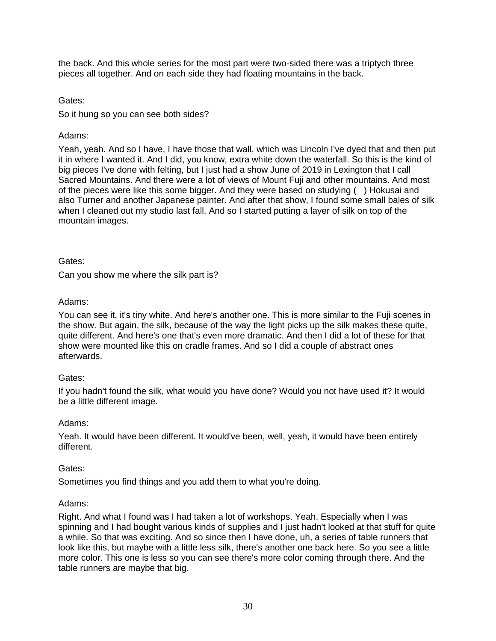the back. And this whole series for the most part were two-sided there was a triptych three pieces all together. And on each side they had floating mountains in the back.

Gates:

So it hung so you can see both sides?

# Adams:

Yeah, yeah. And so I have, I have those that wall, which was Lincoln I've dyed that and then put it in where I wanted it. And I did, you know, extra white down the waterfall. So this is the kind of big pieces I've done with felting, but I just had a show June of 2019 in Lexington that I call Sacred Mountains. And there were a lot of views of Mount Fuji and other mountains. And most of the pieces were like this some bigger. And they were based on studying ( ) Hokusai and also Turner and another Japanese painter. And after that show, I found some small bales of silk when I cleaned out my studio last fall. And so I started putting a layer of silk on top of the mountain images.

# Gates:

Can you show me where the silk part is?

# Adams:

You can see it, it's tiny white. And here's another one. This is more similar to the Fuji scenes in the show. But again, the silk, because of the way the light picks up the silk makes these quite, quite different. And here's one that's even more dramatic. And then I did a lot of these for that show were mounted like this on cradle frames. And so I did a couple of abstract ones afterwards.

# Gates:

If you hadn't found the silk, what would you have done? Would you not have used it? It would be a little different image.

# Adams:

Yeah. It would have been different. It would've been, well, yeah, it would have been entirely different.

# Gates:

Sometimes you find things and you add them to what you're doing.

# Adams:

Right. And what I found was I had taken a lot of workshops. Yeah. Especially when I was spinning and I had bought various kinds of supplies and I just hadn't looked at that stuff for quite a while. So that was exciting. And so since then I have done, uh, a series of table runners that look like this, but maybe with a little less silk, there's another one back here. So you see a little more color. This one is less so you can see there's more color coming through there. And the table runners are maybe that big.